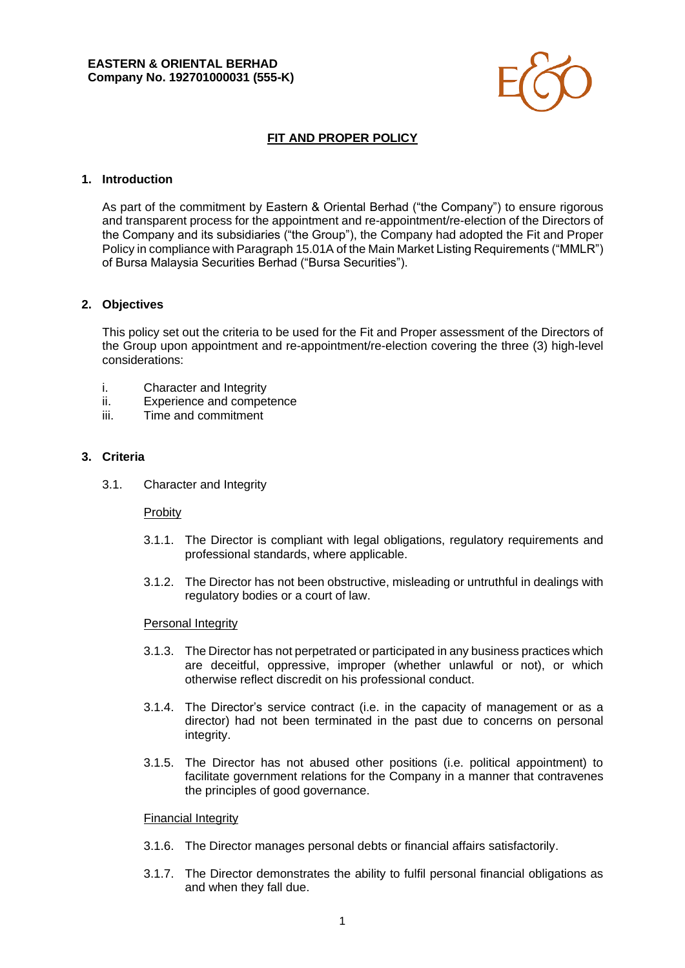

# **FIT AND PROPER POLICY**

### **1. Introduction**

As part of the commitment by Eastern & Oriental Berhad ("the Company") to ensure rigorous and transparent process for the appointment and re-appointment/re-election of the Directors of the Company and its subsidiaries ("the Group"), the Company had adopted the Fit and Proper Policy in compliance with Paragraph 15.01A of the Main Market Listing Requirements ("MMLR") of Bursa Malaysia Securities Berhad ("Bursa Securities").

### **2. Objectives**

This policy set out the criteria to be used for the Fit and Proper assessment of the Directors of the Group upon appointment and re-appointment/re-election covering the three (3) high-level considerations:

- i. Character and Integrity
- ii. Experience and competence
- iii. Time and commitment

### **3. Criteria**

3.1. Character and Integrity

#### Probity

- 3.1.1. The Director is compliant with legal obligations, regulatory requirements and professional standards, where applicable.
- 3.1.2. The Director has not been obstructive, misleading or untruthful in dealings with regulatory bodies or a court of law.

#### Personal Integrity

- 3.1.3. The Director has not perpetrated or participated in any business practices which are deceitful, oppressive, improper (whether unlawful or not), or which otherwise reflect discredit on his professional conduct.
- 3.1.4. The Director's service contract (i.e. in the capacity of management or as a director) had not been terminated in the past due to concerns on personal integrity.
- 3.1.5. The Director has not abused other positions (i.e. political appointment) to facilitate government relations for the Company in a manner that contravenes the principles of good governance.

#### Financial Integrity

- 3.1.6. The Director manages personal debts or financial affairs satisfactorily.
- 3.1.7. The Director demonstrates the ability to fulfil personal financial obligations as and when they fall due.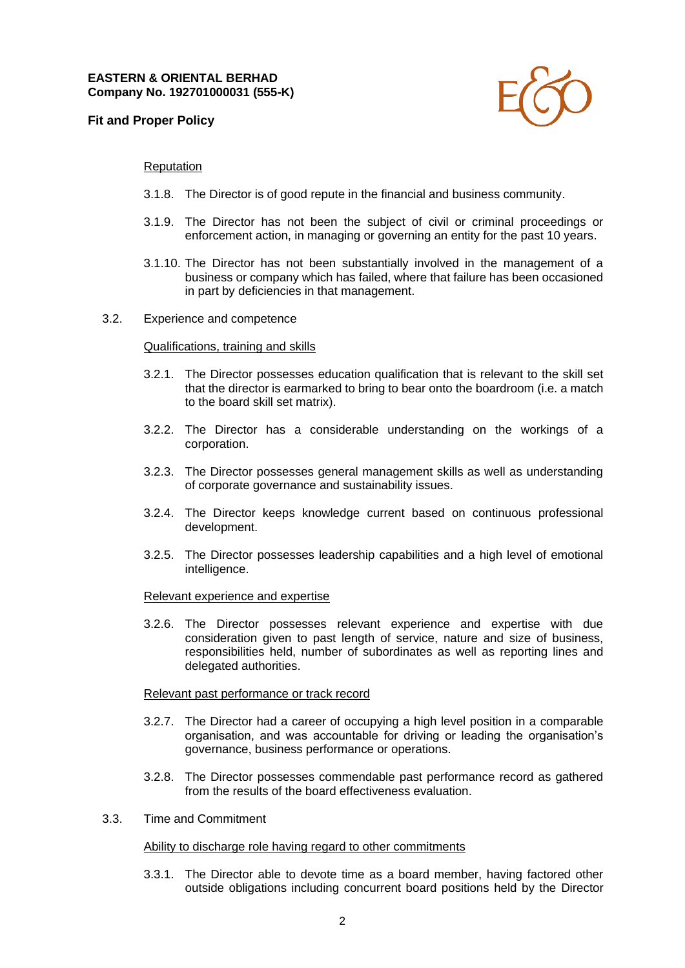## **Fit and Proper Policy**



### Reputation

- 3.1.8. The Director is of good repute in the financial and business community.
- 3.1.9. The Director has not been the subject of civil or criminal proceedings or enforcement action, in managing or governing an entity for the past 10 years.
- 3.1.10. The Director has not been substantially involved in the management of a business or company which has failed, where that failure has been occasioned in part by deficiencies in that management.
- 3.2. Experience and competence

#### Qualifications, training and skills

- 3.2.1. The Director possesses education qualification that is relevant to the skill set that the director is earmarked to bring to bear onto the boardroom (i.e. a match to the board skill set matrix).
- 3.2.2. The Director has a considerable understanding on the workings of a corporation.
- 3.2.3. The Director possesses general management skills as well as understanding of corporate governance and sustainability issues.
- 3.2.4. The Director keeps knowledge current based on continuous professional development.
- 3.2.5. The Director possesses leadership capabilities and a high level of emotional intelligence.

#### Relevant experience and expertise

3.2.6. The Director possesses relevant experience and expertise with due consideration given to past length of service, nature and size of business, responsibilities held, number of subordinates as well as reporting lines and delegated authorities.

#### Relevant past performance or track record

- 3.2.7. The Director had a career of occupying a high level position in a comparable organisation, and was accountable for driving or leading the organisation's governance, business performance or operations.
- 3.2.8. The Director possesses commendable past performance record as gathered from the results of the board effectiveness evaluation.
- 3.3. Time and Commitment

#### Ability to discharge role having regard to other commitments

3.3.1. The Director able to devote time as a board member, having factored other outside obligations including concurrent board positions held by the Director